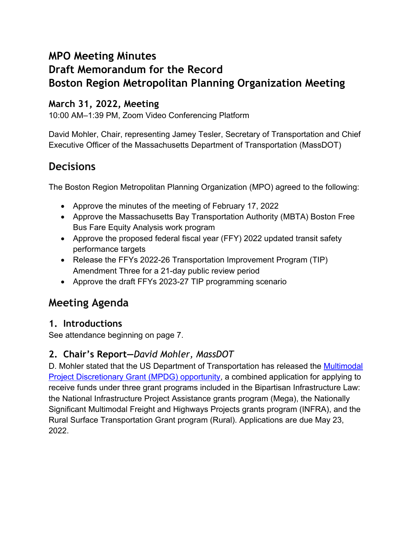## **MPO Meeting Minutes**

# **Draft Memorandum for the Record Boston Region Metropolitan Planning Organization Meeting**

## **March 31, 2022, Meeting**

10:00 AM–1:39 PM, Zoom Video Conferencing Platform

David Mohler, Chair, representing Jamey Tesler, Secretary of Transportation and Chief Executive Officer of the Massachusetts Department of Transportation (MassDOT)

## **Decisions**

The Boston Region Metropolitan Planning Organization (MPO) agreed to the following:

- Approve the minutes of the meeting of February 17, 2022
- Approve the Massachusetts Bay Transportation Authority (MBTA) Boston Free Bus Fare Equity Analysis work program
- Approve the proposed federal fiscal year (FFY) 2022 updated transit safety performance targets
- Release the FFYs 2022-26 Transportation Improvement Program (TIP) Amendment Three for a 21-day public review period
- Approve the draft FFYs 2023-27 TIP programming scenario

## **Meeting Agenda**

## **1. Introductions**

See attendance beginning on page 7.

## **2. Chair's Report—***David Mohler, MassDOT*

D. Mohler stated that the US Department of Transportation has released the [Multimodal](https://www.transportation.gov/sites/dot.gov/files/2022-03/FY22%20Multimodal%20Project%20Discretionary%20Grant%20-%20NOFO_final_0.pdf)  [Project Discretionary Grant \(MPDG\) opportunity,](https://www.transportation.gov/sites/dot.gov/files/2022-03/FY22%20Multimodal%20Project%20Discretionary%20Grant%20-%20NOFO_final_0.pdf) a combined application for applying to receive funds under three grant programs included in the Bipartisan Infrastructure Law: the National Infrastructure Project Assistance grants program (Mega), the Nationally Significant Multimodal Freight and Highways Projects grants program (INFRA), and the Rural Surface Transportation Grant program (Rural). Applications are due May 23, 2022.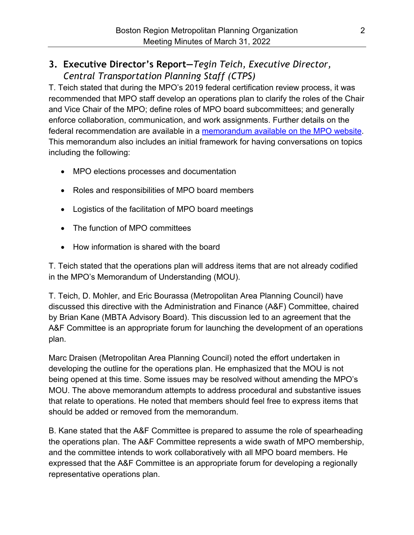## **3. Executive Director's Report—***Tegin Teich, Executive Director, Central Transportation Planning Staff (CTPS)*

T. Teich stated that during the MPO's 2019 federal certification review process, it was recommended that MPO staff develop an operations plan to clarify the roles of the Chair and Vice Chair of the MPO; define roles of MPO board subcommittees; and generally enforce collaboration, communication, and work assignments. Further details on the federal recommendation are available in a [memorandum available on the MPO website.](https://www.ctps.org/data/calendar/pdfs/2022/MPO_0331_Memorandum_Operations_Plan.pdf) This memorandum also includes an initial framework for having conversations on topics including the following:

- MPO elections processes and documentation
- Roles and responsibilities of MPO board members
- Logistics of the facilitation of MPO board meetings
- The function of MPO committees
- How information is shared with the board

T. Teich stated that the operations plan will address items that are not already codified in the MPO's Memorandum of Understanding (MOU).

T. Teich, D. Mohler, and Eric Bourassa (Metropolitan Area Planning Council) have discussed this directive with the Administration and Finance (A&F) Committee, chaired by Brian Kane (MBTA Advisory Board). This discussion led to an agreement that the A&F Committee is an appropriate forum for launching the development of an operations plan.

Marc Draisen (Metropolitan Area Planning Council) noted the effort undertaken in developing the outline for the operations plan. He emphasized that the MOU is not being opened at this time. Some issues may be resolved without amending the MPO's MOU. The above memorandum attempts to address procedural and substantive issues that relate to operations. He noted that members should feel free to express items that should be added or removed from the memorandum.

B. Kane stated that the A&F Committee is prepared to assume the role of spearheading the operations plan. The A&F Committee represents a wide swath of MPO membership, and the committee intends to work collaboratively with all MPO board members. He expressed that the A&F Committee is an appropriate forum for developing a regionally representative operations plan.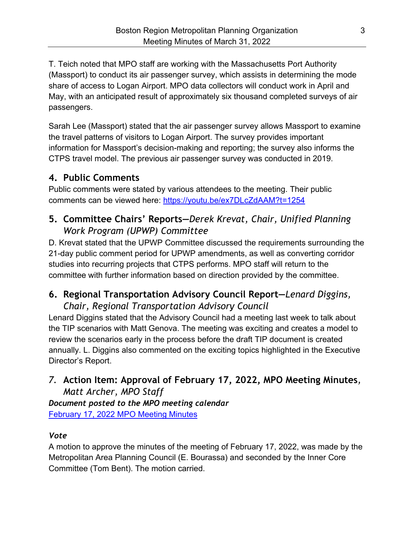T. Teich noted that MPO staff are working with the Massachusetts Port Authority (Massport) to conduct its air passenger survey, which assists in determining the mode share of access to Logan Airport. MPO data collectors will conduct work in April and May, with an anticipated result of approximately six thousand completed surveys of air passengers.

Sarah Lee (Massport) stated that the air passenger survey allows Massport to examine the travel patterns of visitors to Logan Airport. The survey provides important information for Massport's decision-making and reporting; the survey also informs the CTPS travel model. The previous air passenger survey was conducted in 2019.

## **4. Public Comments**

Public comments were stated by various attendees to the meeting. Their public comments can be viewed here:<https://youtu.be/ex7DLcZdAAM?t=1254>

## **5. Committee Chairs' Reports—***Derek Krevat, Chair, Unified Planning Work Program (UPWP) Committee*

D. Krevat stated that the UPWP Committee discussed the requirements surrounding the 21-day public comment period for UPWP amendments, as well as converting corridor studies into recurring projects that CTPS performs. MPO staff will return to the committee with further information based on direction provided by the committee.

## **6. Regional Transportation Advisory Council Report—***Lenard Diggins, Chair, Regional Transportation Advisory Council*

Lenard Diggins stated that the Advisory Council had a meeting last week to talk about the TIP scenarios with Matt Genova. The meeting was exciting and creates a model to review the scenarios early in the process before the draft TIP document is created annually. L. Diggins also commented on the exciting topics highlighted in the Executive Director's Report.

## *7.* **Action Item: Approval of February 17, 2022, MPO Meeting Minutes***, Matt Archer, MPO Staff*

*Document posted to the MPO meeting calendar* [February 17, 2022 MPO Meeting Minutes](https://www.ctps.org/data/calendar/pdfs/2022/MPO_0331_Draft_Meeting_Minutes_0217.pdf)

### *Vote*

A motion to approve the minutes of the meeting of February 17, 2022, was made by the Metropolitan Area Planning Council (E. Bourassa) and seconded by the Inner Core Committee (Tom Bent). The motion carried.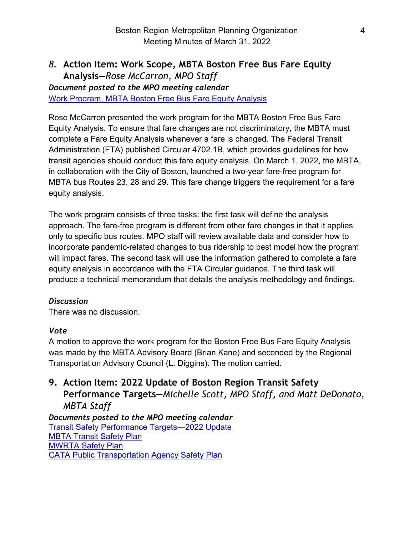### *8.* **Action Item: Work Scope, MBTA Boston Free Bus Fare Equity Analysis—***Rose McCarron, MPO Staff*

*Document posted to the MPO meeting calendar*

[Work Program, MBTA Boston Free Bus Fare Equity Analysis](https://www.bostonmpo.org/data/calendar/pdfs/2022/MPO_0331_Work_Program_Free_Bus_Fare_Equity_Analysis.pdf)

Rose McCarron presented the work program for the MBTA Boston Free Bus Fare Equity Analysis. To ensure that fare changes are not discriminatory, the MBTA must complete a Fare Equity Analysis whenever a fare is changed. The Federal Transit Administration (FTA) published Circular 4702.1B, which provides guidelines for how transit agencies should conduct this fare equity analysis. On March 1, 2022, the MBTA, in collaboration with the City of Boston, launched a two-year fare-free program for MBTA bus Routes 23, 28 and 29. This fare change triggers the requirement for a fare equity analysis.

The work program consists of three tasks: the first task will define the analysis approach. The fare-free program is different from other fare changes in that it applies only to specific bus routes. MPO staff will review available data and consider how to incorporate pandemic-related changes to bus ridership to best model how the program will impact fares. The second task will use the information gathered to complete a fare equity analysis in accordance with the FTA Circular guidance. The third task will produce a technical memorandum that details the analysis methodology and findings.

#### *Discussion*

There was no discussion.

#### *Vote*

A motion to approve the work program for the Boston Free Bus Fare Equity Analysis was made by the MBTA Advisory Board (Brian Kane) and seconded by the Regional Transportation Advisory Council (L. Diggins). The motion carried.

## **9. Action Item: 2022 Update of Boston Region Transit Safety Performance Targets—***Michelle Scott, MPO Staff, and Matt DeDonato, MBTA Staff*

*Documents posted to the MPO meeting calendar* [Transit Safety Performance Targets—2022 Update](https://www.ctps.org/data/calendar/pdfs/2022/MPO_0331_Memorandum_Transit_Safety_Targets.pdf) [MBTA Transit Safety Plan](https://www.ctps.org/data/calendar/pdfs/2022/MPO_0331_MBTA_Safety_Plan_FFY_2021.pdf) [MWRTA Safety Plan](https://www.ctps.org/data/calendar/pdfs/2022/MPO_0331_MWRTA_Safety_Plan_FFY_2021.pdf) [CATA Public Transportation Agency Safety Plan](https://www.ctps.org/data/calendar/pdfs/2022/MPO_0331_CATA_Safety_Plan_FFY_2021.pdf)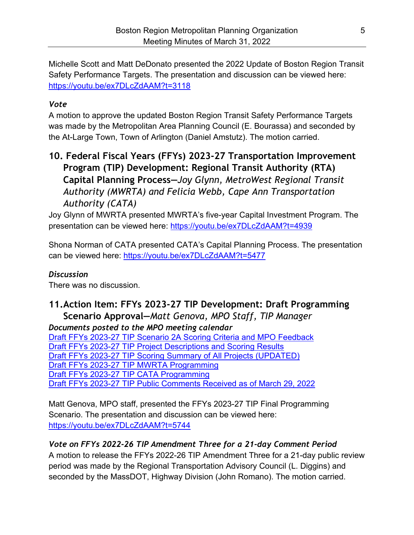Michelle Scott and Matt DeDonato presented the 2022 Update of Boston Region Transit Safety Performance Targets. The presentation and discussion can be viewed here: <https://youtu.be/ex7DLcZdAAM?t=3118>

#### *Vote*

A motion to approve the updated Boston Region Transit Safety Performance Targets was made by the Metropolitan Area Planning Council (E. Bourassa) and seconded by the At-Large Town, Town of Arlington (Daniel Amstutz). The motion carried.

## **10. Federal Fiscal Years (FFYs) 2023-27 Transportation Improvement Program (TIP) Development: Regional Transit Authority (RTA) Capital Planning Process—***Joy Glynn, MetroWest Regional Transit Authority (MWRTA) and Felicia Webb, Cape Ann Transportation Authority (CATA)*

Joy Glynn of MWRTA presented MWRTA's five-year Capital Investment Program. The presentation can be viewed here: <https://youtu.be/ex7DLcZdAAM?t=4939>

Shona Norman of CATA presented CATA's Capital Planning Process. The presentation can be viewed here:<https://youtu.be/ex7DLcZdAAM?t=5477>

#### *Discussion*

There was no discussion.

## **11.Action Item: FFYs 2023-27 TIP Development: Draft Programming Scenario Approval—***Matt Genova, MPO Staff, TIP Manager*

*Documents posted to the MPO meeting calendar*

[Draft FFYs 2023-27 TIP Scenario 2A Scoring Criteria and MPO Feedback](https://www.ctps.org/data/calendar/pdfs/2022/MPO_0331_Draft_FFYs23-27_TIP_Scenario_2A_Scoring_Criteria_and_MPO_Feedback.pdf) [Draft FFYs 2023-27 TIP Project Descriptions and Scoring Results](https://www.ctps.org/data/calendar/pdfs/2022/MPO_0331_Draft_FFYs23-27_TIP_Project_Descriptions_and_Scoring_Results.pdf) [Draft FFYs 2023-27 TIP Scoring Summary of All Projects \(UPDATED\)](https://www.ctps.org/data/calendar/pdfs/2022/MPO_0331_Draft_FFYs23-27_TIP_Scoring_Summary_All_Projects_Updated.pdf) [Draft FFYs 2023-27 TIP MWRTA Programming](https://www.ctps.org/data/calendar/pdfs/2022/MPO_0331_Draft_FFYs23-27_TIP_MWRTA_Programming.pdf) [Draft FFYs 2023-27 TIP CATA Programming](https://www.ctps.org/data/calendar/pdfs/2022/MPO_0331_Draft_FFYs23-27_TIP_CATA_Programming.pdf) [Draft FFYs 2023-27 TIP Public Comments Received as of March 29, 2022](https://www.ctps.org/data/calendar/pdfs/2022/MPO_0331_Draft_FFYs23-27_TIP_Public_Comments_Received_as_of_0329.pdf)

Matt Genova, MPO staff, presented the FFYs 2023-27 TIP Final Programming Scenario. The presentation and discussion can be viewed here: <https://youtu.be/ex7DLcZdAAM?t=5744>

### *Vote on FFYs 2022-26 TIP Amendment Three for a 21-day Comment Period*

A motion to release the FFYs 2022-26 TIP Amendment Three for a 21-day public review period was made by the Regional Transportation Advisory Council (L. Diggins) and seconded by the MassDOT, Highway Division (John Romano). The motion carried.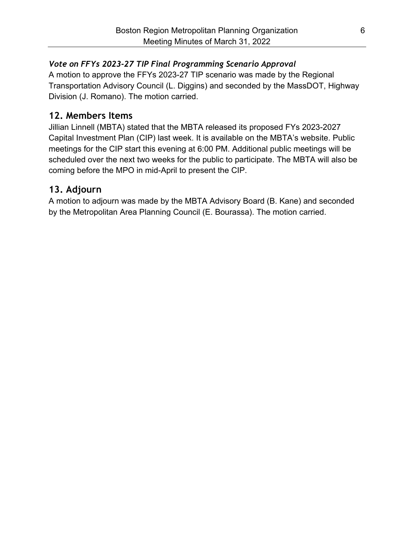#### *Vote on FFYs 2023-27 TIP Final Programming Scenario Approval*

A motion to approve the FFYs 2023-27 TIP scenario was made by the Regional Transportation Advisory Council (L. Diggins) and seconded by the MassDOT, Highway Division (J. Romano). The motion carried.

## **12. Members Items**

Jillian Linnell (MBTA) stated that the MBTA released its proposed FYs 2023-2027 Capital Investment Plan (CIP) last week. It is available on the MBTA's website. Public meetings for the CIP start this evening at 6:00 PM. Additional public meetings will be scheduled over the next two weeks for the public to participate. The MBTA will also be coming before the MPO in mid-April to present the CIP.

## **13. Adjourn**

A motion to adjourn was made by the MBTA Advisory Board (B. Kane) and seconded by the Metropolitan Area Planning Council (E. Bourassa). The motion carried.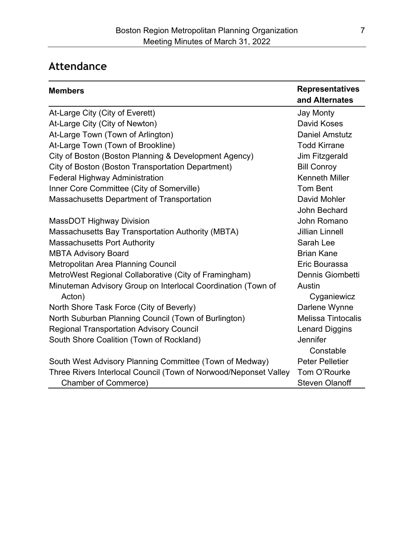# **Attendance**

| <b>Members</b>                                                   | <b>Representatives</b><br>and Alternates |
|------------------------------------------------------------------|------------------------------------------|
| At-Large City (City of Everett)                                  | <b>Jay Monty</b>                         |
| At-Large City (City of Newton)                                   | <b>David Koses</b>                       |
| At-Large Town (Town of Arlington)                                | <b>Daniel Amstutz</b>                    |
| At-Large Town (Town of Brookline)                                | <b>Todd Kirrane</b>                      |
| City of Boston (Boston Planning & Development Agency)            | Jim Fitzgerald                           |
| <b>City of Boston (Boston Transportation Department)</b>         | <b>Bill Conroy</b>                       |
| <b>Federal Highway Administration</b>                            | <b>Kenneth Miller</b>                    |
| Inner Core Committee (City of Somerville)                        | <b>Tom Bent</b>                          |
| Massachusetts Department of Transportation                       | David Mohler                             |
|                                                                  | John Bechard                             |
| <b>MassDOT Highway Division</b>                                  | John Romano                              |
| <b>Massachusetts Bay Transportation Authority (MBTA)</b>         | <b>Jillian Linnell</b>                   |
| <b>Massachusetts Port Authority</b>                              | Sarah Lee                                |
| <b>MBTA Advisory Board</b>                                       | <b>Brian Kane</b>                        |
| Metropolitan Area Planning Council                               | Eric Bourassa                            |
| MetroWest Regional Collaborative (City of Framingham)            | Dennis Giombetti                         |
| Minuteman Advisory Group on Interlocal Coordination (Town of     | Austin                                   |
| Acton)                                                           | Cyganiewicz                              |
| North Shore Task Force (City of Beverly)                         | Darlene Wynne                            |
| North Suburban Planning Council (Town of Burlington)             | <b>Melissa Tintocalis</b>                |
| <b>Regional Transportation Advisory Council</b>                  | <b>Lenard Diggins</b>                    |
| South Shore Coalition (Town of Rockland)                         | Jennifer                                 |
|                                                                  | Constable                                |
| South West Advisory Planning Committee (Town of Medway)          | <b>Peter Pelletier</b>                   |
| Three Rivers Interlocal Council (Town of Norwood/Neponset Valley | Tom O'Rourke                             |
| <b>Chamber of Commerce)</b>                                      | <b>Steven Olanoff</b>                    |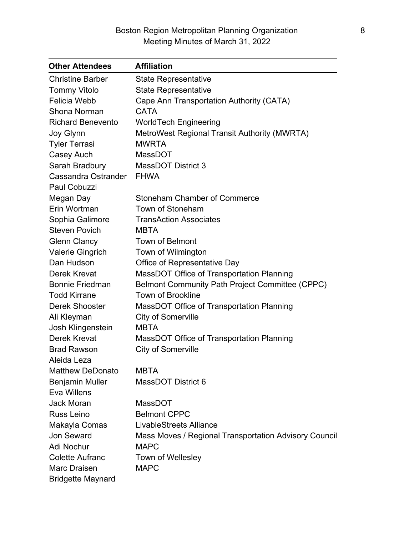| <b>Other Attendees</b>   | <b>Affiliation</b>                                    |
|--------------------------|-------------------------------------------------------|
| <b>Christine Barber</b>  | <b>State Representative</b>                           |
| <b>Tommy Vitolo</b>      | <b>State Representative</b>                           |
| <b>Felicia Webb</b>      | Cape Ann Transportation Authority (CATA)              |
| Shona Norman             | <b>CATA</b>                                           |
| <b>Richard Benevento</b> | <b>WorldTech Engineering</b>                          |
| Joy Glynn                | <b>MetroWest Regional Transit Authority (MWRTA)</b>   |
| <b>Tyler Terrasi</b>     | <b>MWRTA</b>                                          |
| Casey Auch               | <b>MassDOT</b>                                        |
| Sarah Bradbury           | <b>MassDOT District 3</b>                             |
| Cassandra Ostrander      | <b>FHWA</b>                                           |
| Paul Cobuzzi             |                                                       |
| Megan Day                | <b>Stoneham Chamber of Commerce</b>                   |
| Erin Wortman             | Town of Stoneham                                      |
| Sophia Galimore          | <b>TransAction Associates</b>                         |
| <b>Steven Povich</b>     | <b>MBTA</b>                                           |
| <b>Glenn Clancy</b>      | <b>Town of Belmont</b>                                |
| Valerie Gingrich         | Town of Wilmington                                    |
| Dan Hudson               | Office of Representative Day                          |
| Derek Krevat             | MassDOT Office of Transportation Planning             |
| <b>Bonnie Friedman</b>   | Belmont Community Path Project Committee (CPPC)       |
| <b>Todd Kirrane</b>      | <b>Town of Brookline</b>                              |
| <b>Derek Shooster</b>    | MassDOT Office of Transportation Planning             |
| Ali Kleyman              | <b>City of Somerville</b>                             |
| Josh Klingenstein        | <b>MBTA</b>                                           |
| Derek Krevat             | MassDOT Office of Transportation Planning             |
| <b>Brad Rawson</b>       | <b>City of Somerville</b>                             |
| Aleida Leza              |                                                       |
| <b>Matthew DeDonato</b>  | <b>MBTA</b>                                           |
| <b>Benjamin Muller</b>   | MassDOT District 6                                    |
| Eva Willens              |                                                       |
| <b>Jack Moran</b>        | MassDOT                                               |
| Russ Leino               | <b>Belmont CPPC</b>                                   |
| Makayla Comas            | <b>LivableStreets Alliance</b>                        |
| Jon Seward               | Mass Moves / Regional Transportation Advisory Council |
| Adi Nochur               | <b>MAPC</b>                                           |
| <b>Colette Aufranc</b>   | Town of Wellesley                                     |
| <b>Marc Draisen</b>      | <b>MAPC</b>                                           |
| <b>Bridgette Maynard</b> |                                                       |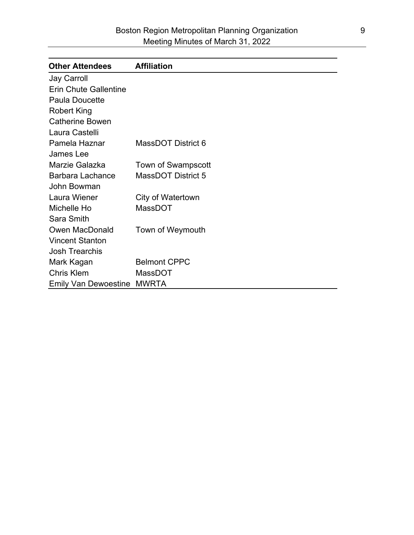| <b>Other Attendees</b>       | <b>Affiliation</b>        |
|------------------------------|---------------------------|
| Jay Carroll                  |                           |
| <b>Erin Chute Gallentine</b> |                           |
| Paula Doucette               |                           |
| <b>Robert King</b>           |                           |
| <b>Catherine Bowen</b>       |                           |
| Laura Castelli               |                           |
| Pamela Haznar                | MassDOT District 6        |
| James Lee                    |                           |
| Marzie Galazka               | <b>Town of Swampscott</b> |
| <b>Barbara Lachance</b>      | <b>MassDOT District 5</b> |
| John Bowman                  |                           |
| Laura Wiener                 | City of Watertown         |
| Michelle Ho                  | MassDOT                   |
| Sara Smith                   |                           |
| <b>Owen MacDonald</b>        | Town of Weymouth          |
| <b>Vincent Stanton</b>       |                           |
| <b>Josh Trearchis</b>        |                           |
| Mark Kagan                   | <b>Belmont CPPC</b>       |
| <b>Chris Klem</b>            | MassDOT                   |
| <b>Emily Van Dewoestine</b>  | <b>MWRTA</b>              |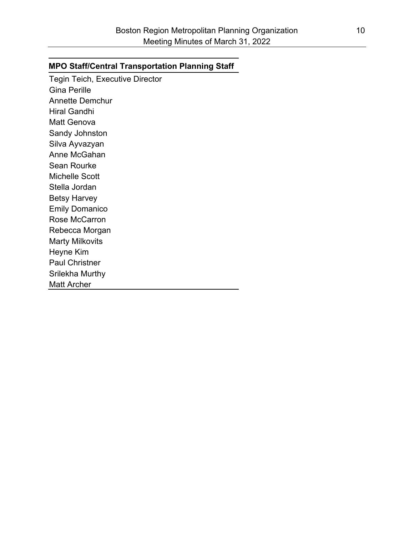#### **MPO Staff/Central Transportation Planning Staff**

Tegin Teich, Executive Director Gina Perille Annette Demchur Hiral Gandhi Matt Genova Sandy Johnston Silva Ayvazyan Anne McGahan Sean Rourke Michelle Scott Stella Jordan Betsy Harvey Emily Domanico Rose McCarron Rebecca Morgan Marty Milkovits Heyne Kim Paul Christner Srilekha Murthy Matt Archer